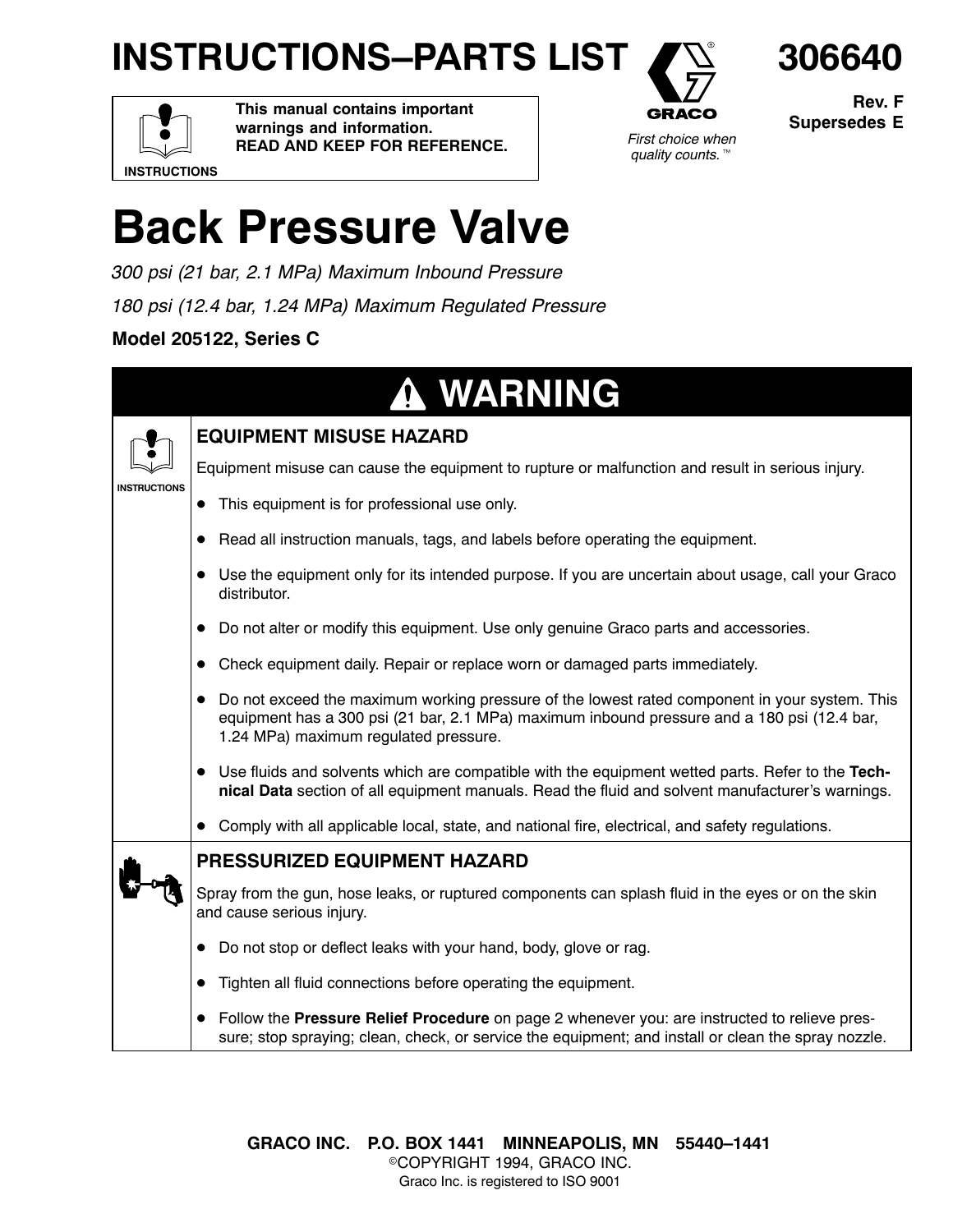## **INSTRUCTIONS–PARTS LIST**



**Rev. F Supersedes E**

**306640**

**INSTRUCTIONS**

**This manual contains important warnings and information. READ AND KEEP FOR REFERENCE.**



# **Back Pressure Valve**

*300 psi (21 bar, 2.1 MPa) Maximum Inbound Pressure 180 psi (12.4 bar, 1.24 MPa) Maximum Regulated Pressure*

**Model 205122, Series C**

|                     | <b>A WARNING</b>                                                                                                                                                                                                                        |
|---------------------|-----------------------------------------------------------------------------------------------------------------------------------------------------------------------------------------------------------------------------------------|
|                     | <b>EQUIPMENT MISUSE HAZARD</b>                                                                                                                                                                                                          |
|                     | Equipment misuse can cause the equipment to rupture or malfunction and result in serious injury.                                                                                                                                        |
| <b>INSTRUCTIONS</b> | This equipment is for professional use only.                                                                                                                                                                                            |
|                     | Read all instruction manuals, tags, and labels before operating the equipment.<br>$\bullet$                                                                                                                                             |
|                     | Use the equipment only for its intended purpose. If you are uncertain about usage, call your Graco<br>distributor.                                                                                                                      |
|                     | Do not alter or modify this equipment. Use only genuine Graco parts and accessories.                                                                                                                                                    |
|                     | Check equipment daily. Repair or replace worn or damaged parts immediately.                                                                                                                                                             |
|                     | • Do not exceed the maximum working pressure of the lowest rated component in your system. This<br>equipment has a 300 psi (21 bar, 2.1 MPa) maximum inbound pressure and a 180 psi (12.4 bar,<br>1.24 MPa) maximum regulated pressure. |
|                     | • Use fluids and solvents which are compatible with the equipment wetted parts. Refer to the Tech-<br>nical Data section of all equipment manuals. Read the fluid and solvent manufacturer's warnings.                                  |
|                     | Comply with all applicable local, state, and national fire, electrical, and safety regulations.                                                                                                                                         |
|                     | <b>PRESSURIZED EQUIPMENT HAZARD</b>                                                                                                                                                                                                     |
|                     | Spray from the gun, hose leaks, or ruptured components can splash fluid in the eyes or on the skin<br>and cause serious injury.                                                                                                         |
|                     | Do not stop or deflect leaks with your hand, body, glove or rag.                                                                                                                                                                        |
|                     | Tighten all fluid connections before operating the equipment.<br>$\bullet$                                                                                                                                                              |
|                     | Follow the Pressure Relief Procedure on page 2 whenever you: are instructed to relieve pres-<br>$\bullet$<br>sure; stop spraying; clean, check, or service the equipment; and install or clean the spray nozzle.                        |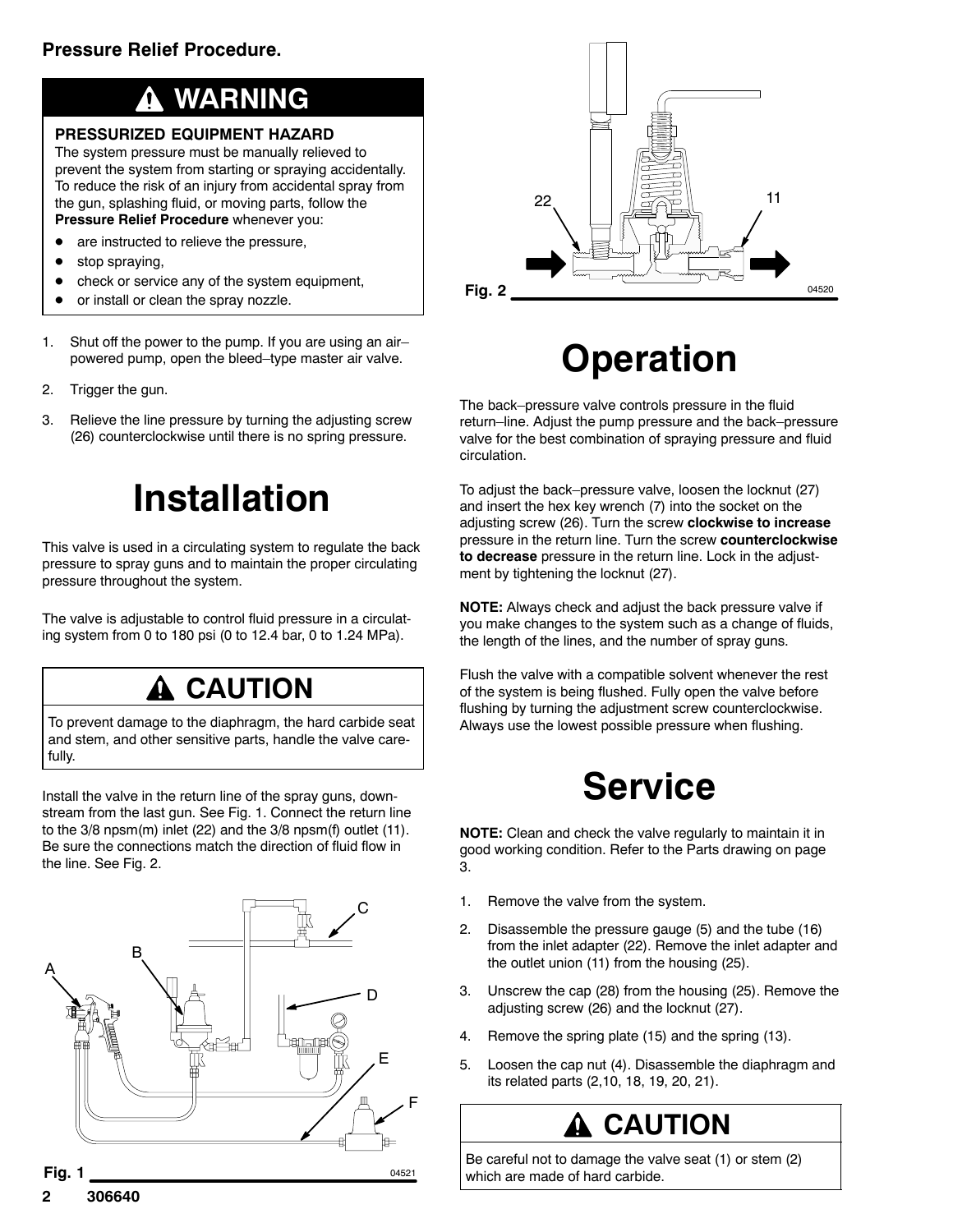#### **WARNING**

#### **PRESSURIZED EQUIPMENT HAZARD**

The system pressure must be manually relieved to prevent the system from starting or spraying accidentally. To reduce the risk of an injury from accidental spray from the gun, splashing fluid, or moving parts, follow the **Pressure Relief Procedure** whenever you:

- are instructed to relieve the pressure,
- $\bullet$  stop spraying,
- check or service any of the system equipment,
- or install or clean the spray nozzle.
- 1. Shut off the power to the pump. If you are using an air– powered pump, open the bleed–type master air valve.
- 2. Trigger the gun.
- 3. Relieve the line pressure by turning the adjusting screw (26) counterclockwise until there is no spring pressure.

## **Installation**

This valve is used in a circulating system to regulate the back pressure to spray guns and to maintain the proper circulating pressure throughout the system.

The valve is adjustable to control fluid pressure in a circulating system from 0 to 180 psi (0 to 12.4 bar, 0 to 1.24 MPa).

### **A CAUTION**

To prevent damage to the diaphragm, the hard carbide seat and stem, and other sensitive parts, handle the valve carefully.

Install the valve in the return line of the spray guns, downstream from the last gun. See Fig. 1. Connect the return line to the 3/8 npsm(m) inlet (22) and the 3/8 npsm(f) outlet (11). Be sure the connections match the direction of fluid flow in the line. See Fig. 2.





## **Operation**

The back–pressure valve controls pressure in the fluid return–line. Adjust the pump pressure and the back–pressure valve for the best combination of spraying pressure and fluid circulation.

To adjust the back–pressure valve, loosen the locknut (27) and insert the hex key wrench (7) into the socket on the adjusting screw (26). Turn the screw **clockwise to increase** pressure in the return line. Turn the screw **counterclockwise to decrease** pressure in the return line. Lock in the adjustment by tightening the locknut (27).

**NOTE:** Always check and adjust the back pressure valve if you make changes to the system such as a change of fluids, the length of the lines, and the number of spray guns.

Flush the valve with a compatible solvent whenever the rest of the system is being flushed. Fully open the valve before flushing by turning the adjustment screw counterclockwise. Always use the lowest possible pressure when flushing.

## **Service**

**NOTE:** Clean and check the valve regularly to maintain it in good working condition. Refer to the Parts drawing on page 3.

- 1. Remove the valve from the system.
- 2. Disassemble the pressure gauge (5) and the tube (16) from the inlet adapter (22). Remove the inlet adapter and the outlet union (11) from the housing (25).
- 3. Unscrew the cap (28) from the housing (25). Remove the adjusting screw (26) and the locknut (27).
- 4. Remove the spring plate (15) and the spring (13).
- 5. Loosen the cap nut (4). Disassemble the diaphragm and its related parts (2,10, 18, 19, 20, 21).

## **CAUTION**

Be careful not to damage the valve seat (1) or stem (2) which are made of hard carbide.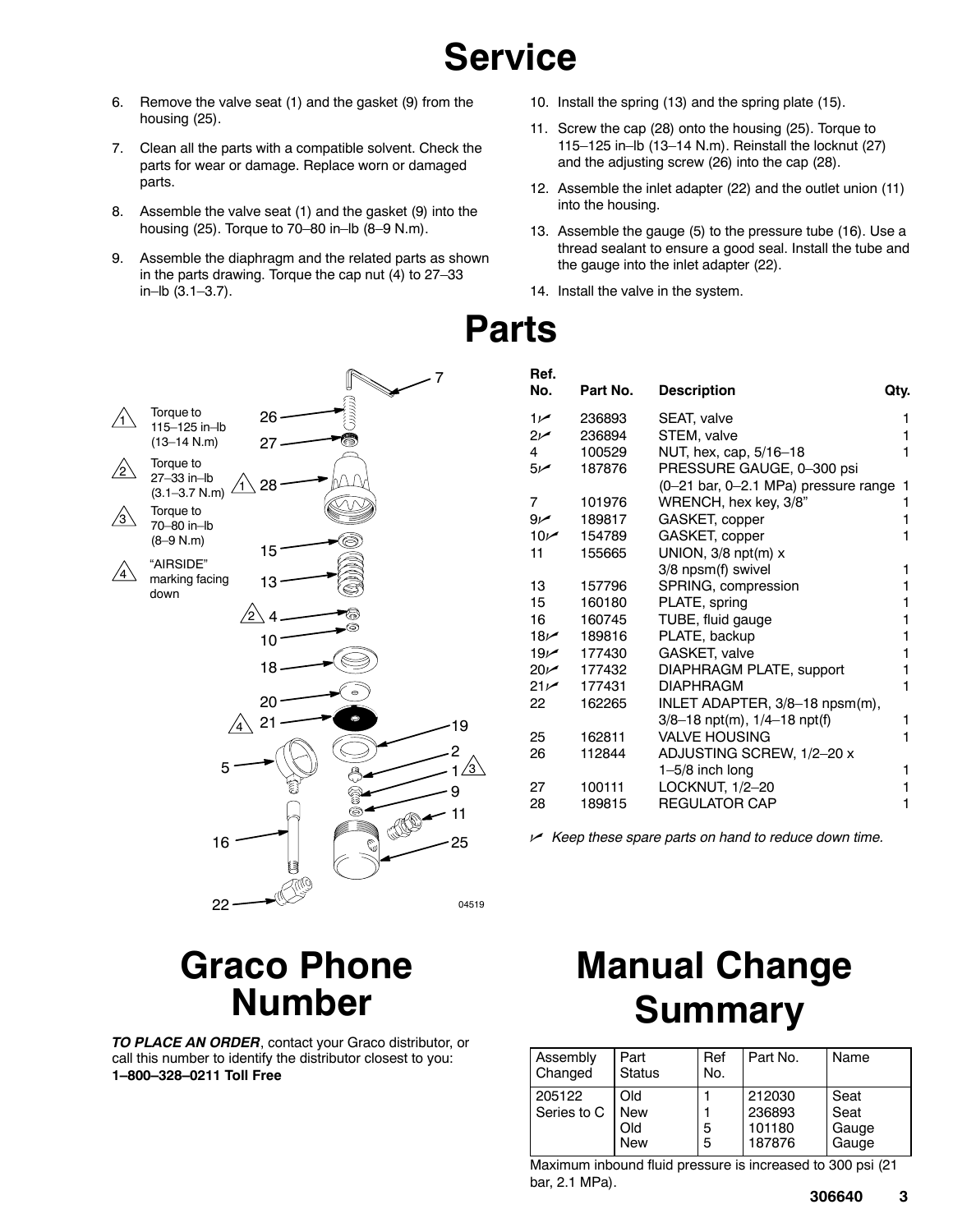## **Service**

- 6. Remove the valve seat (1) and the gasket (9) from the housing (25).
- 7. Clean all the parts with a compatible solvent. Check the parts for wear or damage. Replace worn or damaged parts.
- 8. Assemble the valve seat (1) and the gasket (9) into the housing (25). Torque to 70–80 in–lb (8–9 N.m).
- 9. Assemble the diaphragm and the related parts as shown in the parts drawing. Torque the cap nut (4) to 27–33 in–lb (3.1–3.7).

 $\bigwedge$ 

'з

 $\sqrt{4}$ 

ʻ2



- 10. Install the spring (13) and the spring plate (15).
- 11. Screw the cap (28) onto the housing (25). Torque to 115–125 in–lb (13–14 N.m). Reinstall the locknut (27) and the adjusting screw (26) into the cap (28).
- 12. Assemble the inlet adapter (22) and the outlet union (11) into the housing.
- 13. Assemble the gauge (5) to the pressure tube (16). Use a thread sealant to ensure a good seal. Install the tube and the gauge into the inlet adapter (22).
- 14. Install the valve in the system.

| Ref.<br>No.     | Part No. | <b>Description</b>                   | Qty. |  |
|-----------------|----------|--------------------------------------|------|--|
| $1 -$           | 236893   | SEAT, valve                          | 1    |  |
| $2\nu$          | 236894   | STEM, valve                          | 1    |  |
| 4               | 100529   | NUT, hex, cap, 5/16-18               |      |  |
| $5\nu$          | 187876   | PRESSURE GAUGE, 0-300 psi            |      |  |
|                 |          | (0-21 bar, 0-2.1 MPa) pressure range | 1    |  |
| 7               | 101976   | WRENCH, hex key, 3/8"                | 1    |  |
| 9 <sub>k</sub>  | 189817   | GASKET, copper                       | 1    |  |
| 10 <sub>k</sub> | 154789   | GASKET, copper                       |      |  |
| 11              | 155665   | UNION, $3/8$ npt(m) $x$              |      |  |
|                 |          | 3/8 npsm(f) swivel                   | 1    |  |
| 13              | 157796   | SPRING, compression                  | 1    |  |
| 15              | 160180   | PLATE, spring                        | 1    |  |
| 16              | 160745   | TUBE, fluid gauge                    | 1    |  |
| 18 <sub>k</sub> | 189816   | PLATE, backup                        | 1    |  |
| 19 <sub>k</sub> | 177430   | GASKET, valve                        | 1    |  |
| $20\nu$         | 177432   | DIAPHRAGM PLATE, support             | 1    |  |
| 21 <sup>2</sup> | 177431   | <b>DIAPHRAGM</b>                     | 1    |  |
| 22              | 162265   | INLET ADAPTER, 3/8-18 npsm(m),       |      |  |
|                 |          | 3/8-18 npt(m), 1/4-18 npt(f)         | 1    |  |
| 25              | 162811   | <b>VALVE HOUSING</b>                 | 1    |  |
| 26              | 112844   | ADJUSTING SCREW, 1/2-20 x            |      |  |
|                 |          | $1-5/8$ inch long                    | 1    |  |
| 27              | 100111   | LOCKNUT, 1/2-20                      | 1    |  |
| 28              | 189815   | <b>REGULATOR CAP</b>                 | 1    |  |

*Keep these spare parts on hand to reduce down time.*

### **Graco Phone Number**

*TO PLACE AN ORDER*, contact your Graco distributor, or call this number to identify the distributor closest to you: **1–800–328–0211 Toll Free**

## **Manual Change Summary**

| Assembly<br>Changed   | Part<br><b>Status</b>                   | Ref<br>No. | Part No.                             | Name                           |
|-----------------------|-----------------------------------------|------------|--------------------------------------|--------------------------------|
| 205122<br>Series to C | <b>DI</b> d<br>New<br>DIQ<br><b>New</b> | 5<br>5     | 212030<br>236893<br>101180<br>187876 | Seat<br>Seat<br>Gauge<br>Gauge |

Maximum inbound fluid pressure is increased to 300 psi (21 bar, 2.1 MPa).

# **Parts**